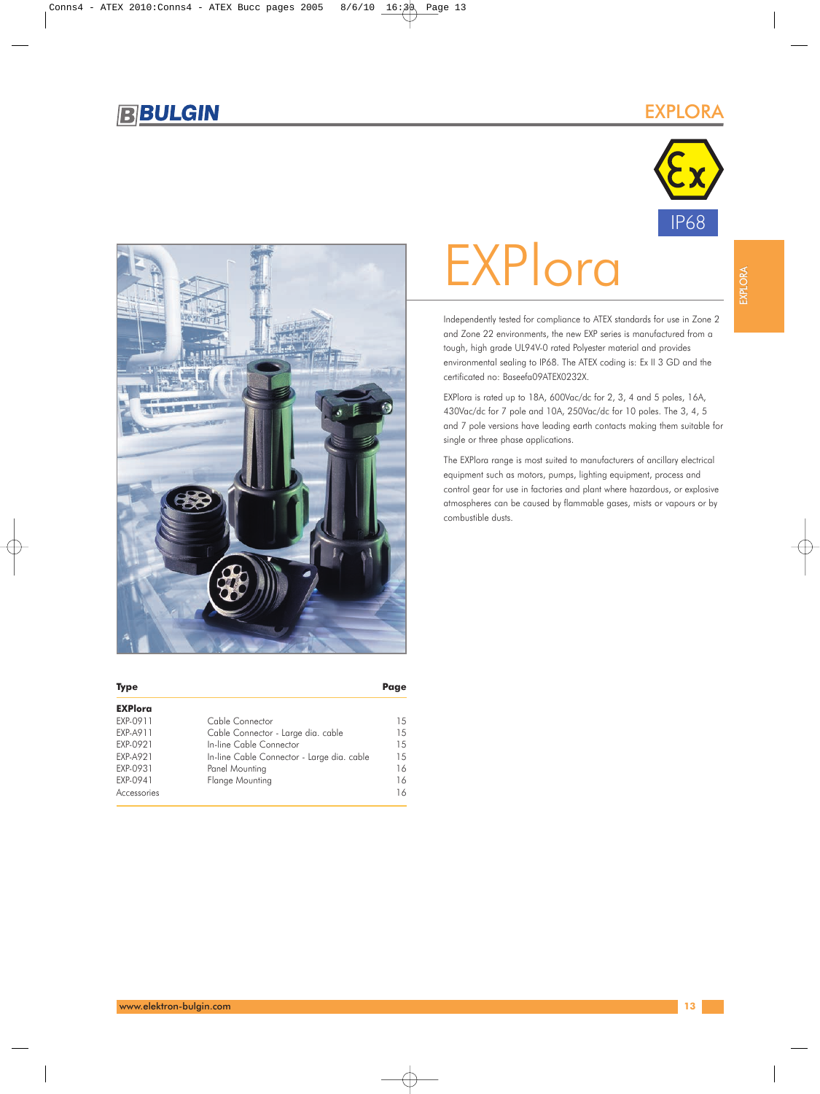## EXPLORA





# **EXPlora**

Independently tested for compliance to ATEX standards for use in Zone 2 and Zone 22 environments, the new EXP series is manufactured from a tough, high grade UL94V-0 rated Polyester material and provides environmental sealing to IP68. The ATEX coding is: Ex II 3 GD and the certificated no: Baseefa09ATEX0232X.

EXPlora is rated up to 18A, 600Vac/dc for 2, 3, 4 and 5 poles, 16A, 430Vac/dc for 7 pole and 10A, 250Vac/dc for 10 poles. The 3, 4, 5 and 7 pole versions have leading earth contacts making them suitable for single or three phase applications.

The EXPlora range is most suited to manufacturers of ancillary electrical equipment such as motors, pumps, lighting equipment, process and control gear for use in factories and plant where hazardous, or explosive atmospheres can be caused by flammable gases, mists or vapours or by combustible dusts.

| <b>Type</b>    |                                            | Page |
|----------------|--------------------------------------------|------|
| <b>EXPlora</b> |                                            |      |
| EXP-0911       | Cable Connector                            | 1.5  |
| EXP-A911       | Cable Connector - Large dia. cable         | 15   |
| EXP-0921       | In-line Cable Connector                    | 1.5  |
| EXP-A921       | In-line Cable Connector - Large dia. cable | 15   |
| EXP-0931       | Panel Mounting                             | 16   |
| EXP-0941       | Flange Mounting                            | 16   |
| Accessories    |                                            | 16   |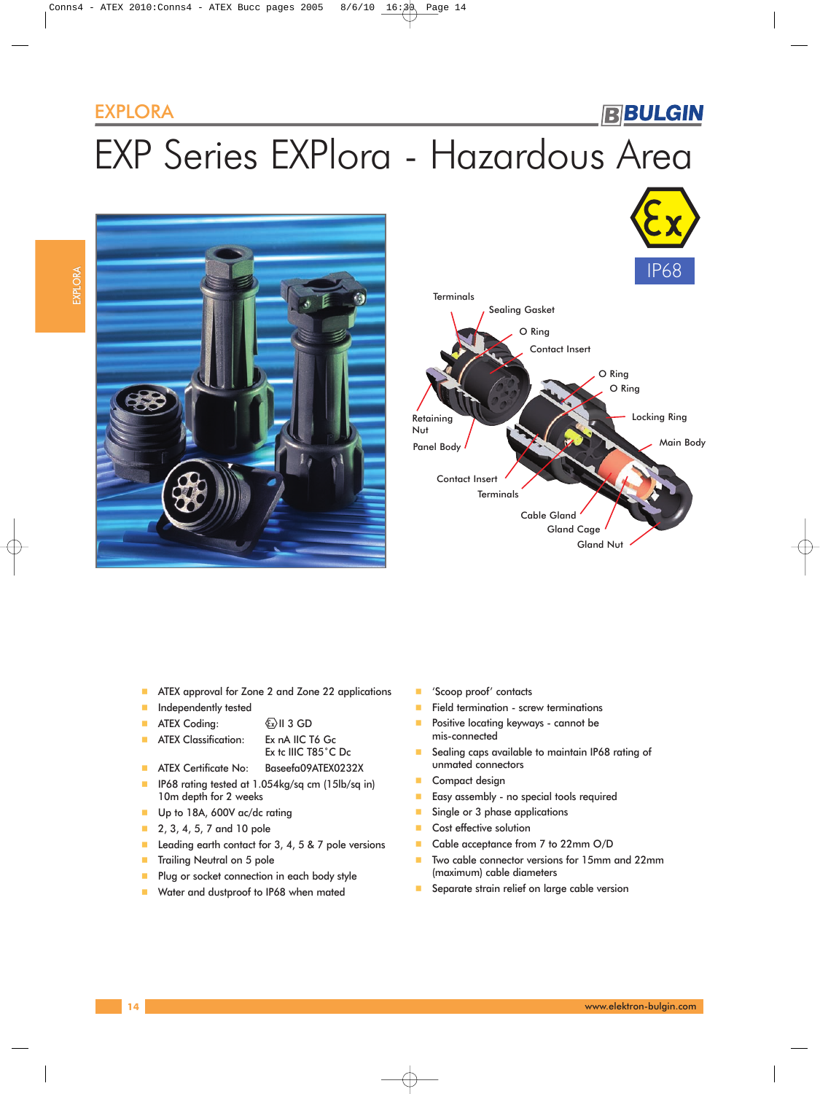### EXPLORA

# **BBULGIN**

# EXP Series EXPlora - Hazardous Area





- **ATEX approval for Zone 2 and Zone 22 applications**
- **Independently tested**
- **ATEX Coding:**  $\&$  II 3 GD
- **ATEX Classification:** Ex nA IIC T6 Gc
	- Ex tc IIIC T85˚C Dc
- **ATEX Certificate No: Baseefa09ATEX0232X**
- **IFFERD** IP68 rating tested at 1.054kg/sq cm (15lb/sq in) 10m depth for 2 weeks
- Up to 18A, 600V ac/dc rating
- **2**, 3, 4, 5, 7 and 10 pole
- Leading earth contact for  $3, 4, 5$  &  $7$  pole versions
- **Trailing Neutral on 5 pole**
- **Plug or socket connection in each body style**
- **Water and dustproof to IP68 when mated**
- 'Scoop proof' contacts
- Field termination screw terminations
- **Positive locating keyways cannot be** mis-connected
- Sealing caps available to maintain IP68 rating of unmated connectors
- Compact design
- **Easy assembly no special tools required**
- Single or 3 phase applications
- Cost effective solution
- Cable acceptance from 7 to 22mm O/D
- Two cable connector versions for 15mm and 22mm (maximum) cable diameters
- Separate strain relief on large cable version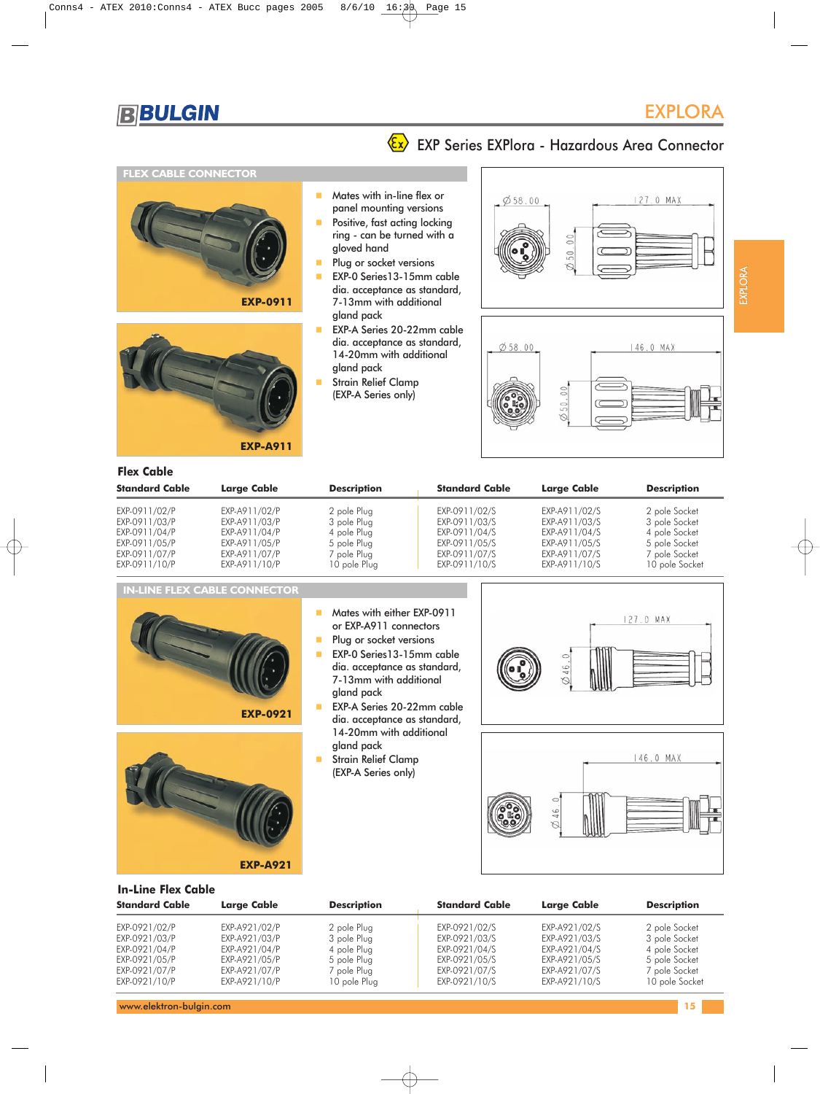# **Ex** EXP Series EXPlora - Hazardous Area Connector

#### **FLEX CABLE CONNECTOR**





- **Mates with in-line flex or** panel mounting versions
- Positive, fast acting locking ring - can be turned with a gloved hand
- **Plug or socket versions**
- EXP-0 Series13-15mm cable dia. acceptance as standard, 7-13mm with additional gland pack
- **EXP-A Series 20-22mm cable** dia. acceptance as standard, 14-20mm with additional gland pack
- Strain Relief Clamp (EXP-A Series only)





#### **Flex Cable**

| <b>Standard Cable</b>                                                             | <b>Large Cable</b>                                                                | <b>Description</b>                                                      | <b>Standard Cable</b>                                                             | <b>Large Cable</b>                                                                | <b>Description</b>                                                                |
|-----------------------------------------------------------------------------------|-----------------------------------------------------------------------------------|-------------------------------------------------------------------------|-----------------------------------------------------------------------------------|-----------------------------------------------------------------------------------|-----------------------------------------------------------------------------------|
| EXP-0911/02/P<br>EXP-0911/03/P<br>EXP-0911/04/P<br>EXP-0911/05/P<br>EXP-0911/07/P | EXP-A911/02/P<br>EXP-A911/03/P<br>EXP-A911/04/P<br>EXP-A911/05/P<br>EXP-A911/07/P | 2 pole Plug<br>3 pole Plug<br>4 pole Plug<br>5 pole Plug<br>7 pole Plug | EXP-0911/02/S<br>EXP-0911/03/S<br>EXP-0911/04/S<br>EXP-0911/05/S<br>EXP-0911/07/S | EXP-A911/02/S<br>EXP-A911/03/S<br>EXP-A911/04/S<br>EXP-A911/05/S<br>EXP-A911/07/S | 2 pole Socket<br>3 pole Socket<br>4 pole Socket<br>5 pole Socket<br>7 pole Socket |
| EXP-0911/10/P                                                                     | EXP-A911/10/P                                                                     | 10 pole Plug                                                            | EXP-0911/10/S                                                                     | EXP-A911/10/S                                                                     | 10 pole Socket                                                                    |







**Standard Cable Large Cable Description Standard Cable Large Cable Description** EXP-0921/02/P EXP-A921/02/P 2 pole Plug EXP-0921/02/S EXP-A921/02/S 2 pole Socket EXP-0921/03/P EXP-A921/03/P 3 pole Plug EXP-0921/03/S EXP-A921/03/S 3 pole Socket EXP-0921/04/P EXP-A921/04/P EXP-A921/04/A<br>
EXP-0921/05/P EXP-A921/05/P 5 pole Plug EXP-0921/05/S EXP-A921/05/S 5 pole Socket EXP-A921/05/P 5 pole Plug | EXP-0921/05/S EXP-A921/05/S 5 pole Socket EXP-0921/07/P EXP-A921/07/P 7 pole Plug EXP-0921/07/S EXP-A921/07/S 7 pole Socket EXP-0921/10/P EXP-A921/10/P 10 pole Plug EXP-0921/10/S EXP-A921/10/S 10 pole Socket

**In-Line Flex Cable**

**EXP-A921**

EXPLORA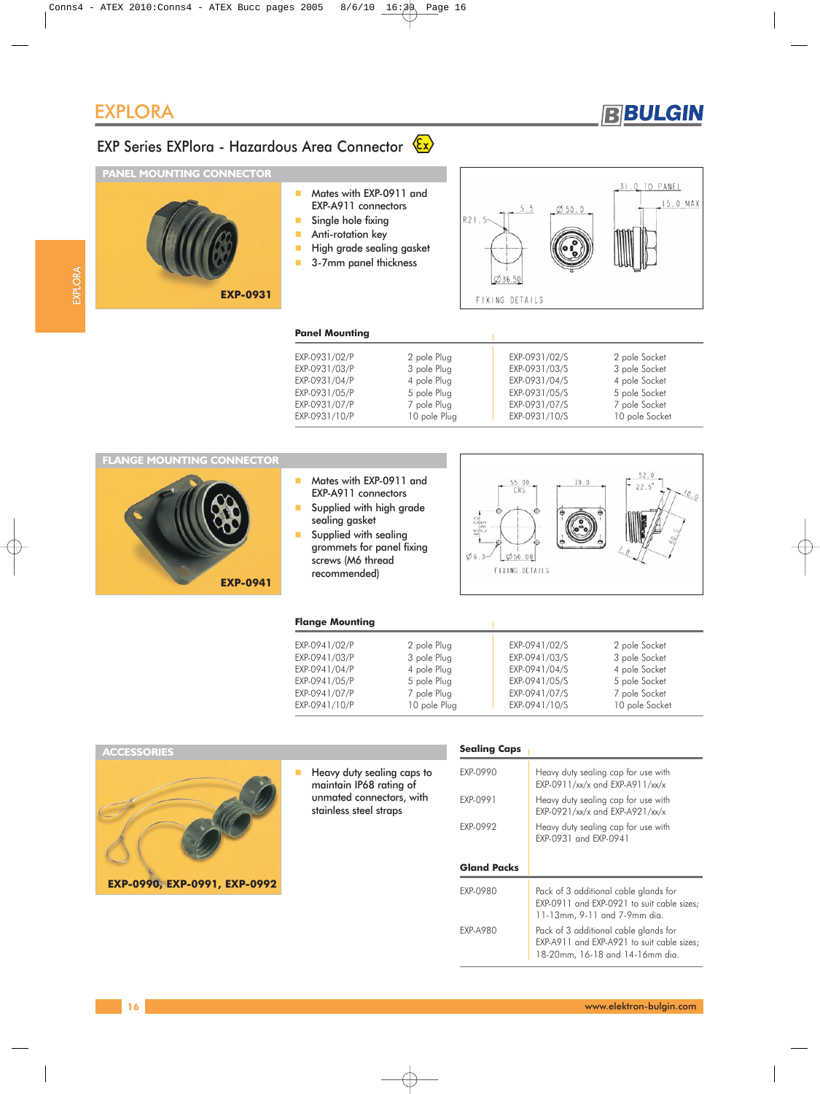

# EXP Series EXPlora - Hazardous Area Connector  $\overline{\mathbb{E} \mathbf{x}}$

#### **PANEL MOUNTING CONNECTOR**



| Mates with EXP-0911 and<br>EXP-A911 connectors |  |
|------------------------------------------------|--|
| Single hole fixing                             |  |
| Anti-rotation key                              |  |
| High grade sealing gasket                      |  |
| 3-7mm panel thickness                          |  |



|       | 31.0. TO PANEL |
|-------|----------------|
| 250.0 | 15.0 MAX       |
|       |                |
|       |                |

#### **Panel Mounting**

| EXP-0931/02/P | 2 pole Plug  | EXP-0931/02/S | 2 pole Socket  |
|---------------|--------------|---------------|----------------|
| EXP-0931/03/P | 3 pole Plug  | EXP-0931/03/S | 3 pole Socket  |
| EXP-0931/04/P | 4 pole Plug  | EXP-0931/04/S | 4 pole Socket  |
| EXP-0931/05/P | 5 pole Plug  | EXP-0931/05/S | 5 pole Socket  |
| EXP-0931/07/P | 7 pole Plug  | EXP-0931/07/S | 7 pole Socket  |
| EXP-0931/10/P | 10 pole Plug | EXP-0931/10/S | 10 pole Socket |

#### **FLANGE MOUNTING CONNECTOR**



- **Mates with EXP-0911 and** EXP-A911 connectors
- Supplied with high grade sealing gasket
- **Supplied with sealing** grommets for panel fixing screws (M6 thread recommended)



#### **Flange Mounting**

| EXP-0941/02/P | 2 pole Plug  | EXP-0941/02/S | 2 pole Socket  |
|---------------|--------------|---------------|----------------|
| EXP-0941/03/P | 3 pole Plug  | EXP-0941/03/S | 3 pole Socket  |
| EXP-0941/04/P | 4 pole Plug  | EXP-0941/04/S | 4 pole Socket  |
| EXP-0941/05/P | 5 pole Plug  | EXP-0941/05/S | 5 pole Socket  |
| EXP-0941/07/P | 7 pole Plug  | EXP-0941/07/S | 7 pole Socket  |
| EXP-0941/10/P | 10 pole Plug | EXP-0941/10/S | 10 pole Socket |

#### **ACCESSORIES**



Heavy duty sealing caps to maintain IP68 rating of unmated connectors, with stainless steel straps

#### **Sealing Caps**

| EXP-0990           | Heavy duty sealing cap for use with<br>EXP-0911/xx/x and EXP-A911/xx/x                                              |
|--------------------|---------------------------------------------------------------------------------------------------------------------|
| EXP-0991           | Heavy duty sealing cap for use with<br>EXP-0921/xx/x and EXP-A921/xx/x                                              |
| EXP-0992           | Heavy duty sealing cap for use with<br>EXP-0931 and EXP-0941                                                        |
|                    |                                                                                                                     |
| <b>Gland Packs</b> |                                                                                                                     |
| EXP-0980           | Pack of 3 additional cable glands for<br>EXP-0911 and EXP-0921 to suit cable sizes:<br>11-13mm, 9-11 and 7-9mm dia. |
| EXP-A980           | Pack of 3 additional cable glands for<br>EXP-A911 and EXP-A921 to suit cable sizes;                                 |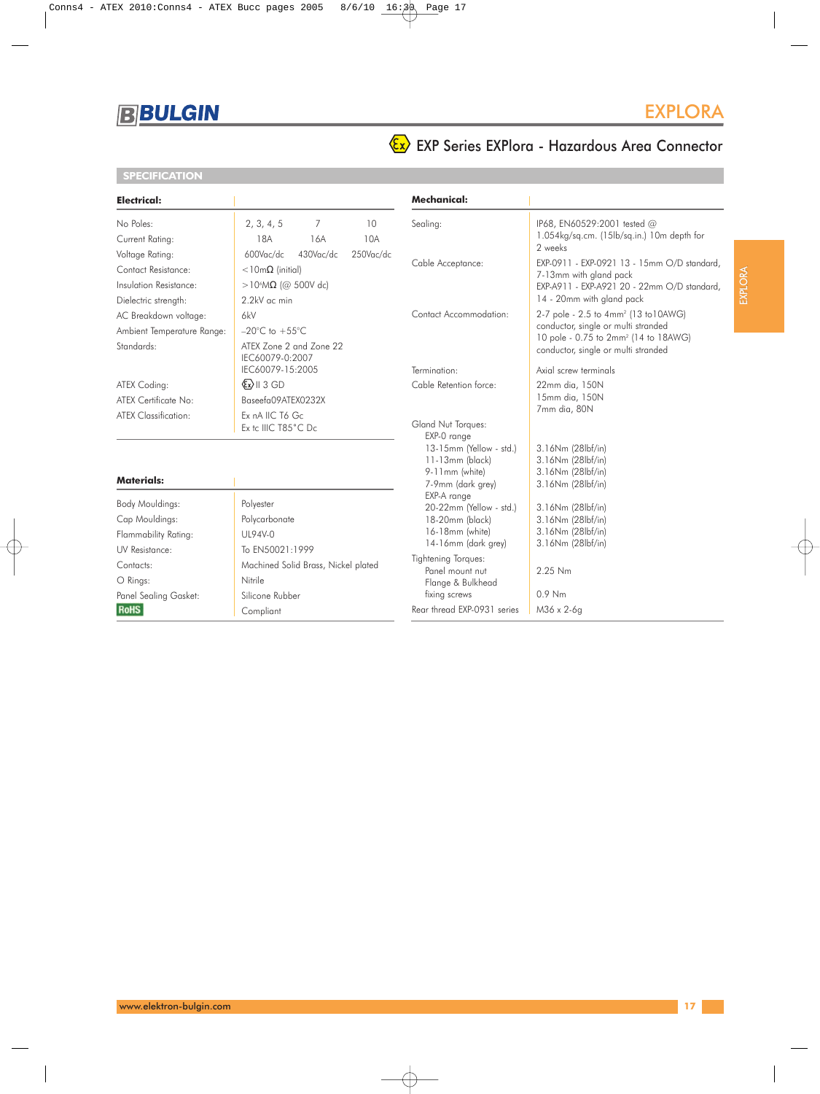

**SPECIFICATION**

### EXPLORA

## EXP Series EXPlora - Hazardous Area Connector

| Electrical:                                                                              |                                                                                                                      | <b>Mechanical:</b>                                                                                          |                                                                                                                                                                                                             |
|------------------------------------------------------------------------------------------|----------------------------------------------------------------------------------------------------------------------|-------------------------------------------------------------------------------------------------------------|-------------------------------------------------------------------------------------------------------------------------------------------------------------------------------------------------------------|
| No Poles:<br>Current Rating:                                                             | 2, 3, 4, 5<br>$\overline{7}$<br>10<br>18A<br>10A<br>16A                                                              | Sealing:                                                                                                    | IP68, EN60529:2001 tested @<br>1.054kg/sq.cm. (15lb/sq.in.) 10m depth for<br>2 weeks                                                                                                                        |
| Voltage Rating:<br>Contact Resistance:<br>Insulation Resistance:<br>Dielectric strength: | 430Vac/dc<br>250Vac/dc<br>600Vac/dc<br>$<$ 10m $\Omega$ (initial)<br>>10 <sup>6</sup> MΩ (@ 500V dc)<br>2.2kV ac min | Cable Acceptance:                                                                                           | EXP-0911 - EXP-0921 13 - 15mm O/D standard,<br>7-13mm with gland pack<br>EXP-A911 - EXP-A921 20 - 22mm O/D standard,<br>14 - 20mm with gland pack                                                           |
| AC Breakdown voltage:<br>Ambient Temperature Range:<br>Standards:                        | 6kV<br>$-20^{\circ}$ C to $+55^{\circ}$ C<br>ATEX Zone 2 and Zone 22<br>IEC60079-0:2007<br>IEC60079-15:2005          | Contact Accommodation:<br>Termination:                                                                      | 2-7 pole - 2.5 to 4mm <sup>2</sup> (13 to 10AWG)<br>conductor, single or multi stranded<br>10 pole - 0.75 to 2mm <sup>2</sup> (14 to 18AWG)<br>conductor, single or multi stranded<br>Axial screw terminals |
| ATEX Coding:<br>ATEX Certificate No:<br>ATEX Classification:                             | $\langle x \rangle$    3 GD<br>Baseefa09ATEX0232X<br>Ex nA IIC T6 Gc<br>Ex tc IIIC T85°C Dc                          | Cable Retention force:<br>Gland Nut Torques:<br>EXP-0 range                                                 | 22mm dia, 150N<br>15mm dia, 150N<br>7mm dia, 80N                                                                                                                                                            |
| <b>Materials:</b>                                                                        |                                                                                                                      | 13-15mm (Yellow - std.)<br>11-13mm (black)<br>9-11mm (white)<br>7-9mm (dark grey)                           | 3.16Nm (28lbf/in)<br>3.16Nm (28lbf/in)<br>3.16Nm (28lbf/in)<br>3.16Nm (28lbf/in)                                                                                                                            |
| Body Mouldings:<br>Cap Mouldings:<br>Flammability Rating:                                | Polyester<br>Polycarbonate<br>UL94V-0                                                                                | EXP-A range<br>20-22mm (Yellow - std.)<br>18-20mm (black)<br>16-18mm (white)<br>14-16mm (dark grey)         | 3.16Nm (28lbf/in)<br>3.16Nm (28lbf/in)<br>3.16Nm (28lbf/in)<br>3.16Nm (28lbf/in)                                                                                                                            |
| UV Resistance:<br>Contacts:<br>O Rings:<br>Panel Sealing Gasket:<br><b>RoHS</b>          | To EN50021:1999<br>Machined Solid Brass, Nickel plated<br>Nitrile<br>Silicone Rubber<br>Compliant                    | Tightening Torques:<br>Panel mount nut<br>Flange & Bulkhead<br>fixing screws<br>Rear thread EXP-0931 series | 2.25 Nm<br>$0.9$ Nm<br>M36 x 2-6g                                                                                                                                                                           |